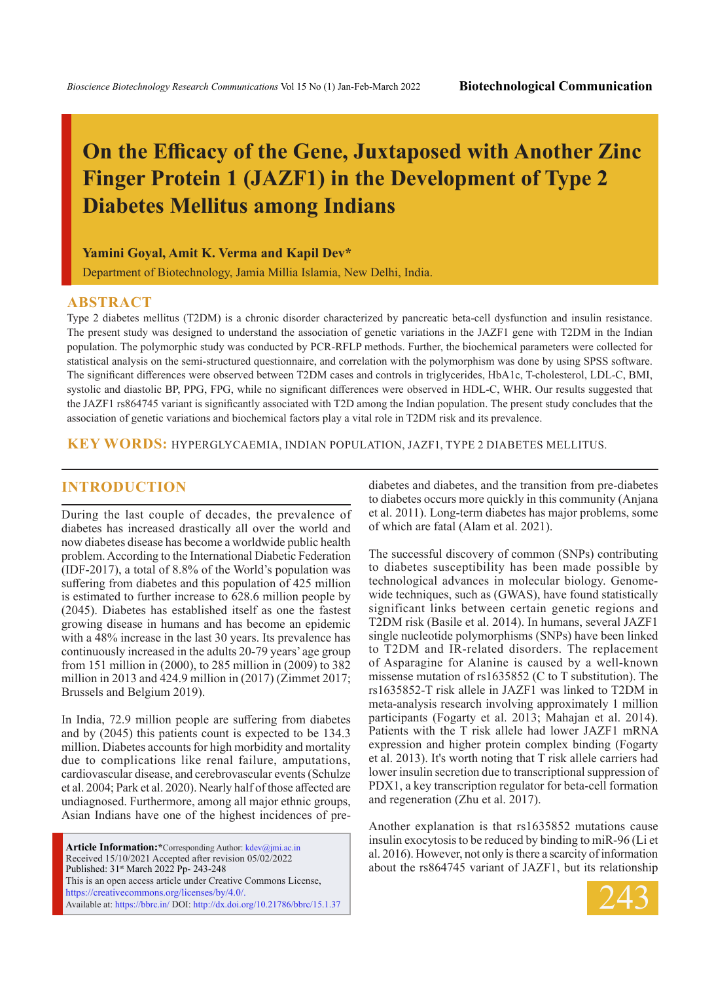# **On the Efficacy of the Gene, Juxtaposed with Another Zinc Finger Protein 1 (JAZF1) in the Development of Type 2 Diabetes Mellitus among Indians**

**Yamini Goyal, Amit K. Verma and Kapil Dev\***

Department of Biotechnology, Jamia Millia Islamia, New Delhi, India.

#### **ABSTRACT**

Type 2 diabetes mellitus (T2DM) is a chronic disorder characterized by pancreatic beta-cell dysfunction and insulin resistance. The present study was designed to understand the association of genetic variations in the JAZF1 gene with T2DM in the Indian population. The polymorphic study was conducted by PCR-RFLP methods. Further, the biochemical parameters were collected for statistical analysis on the semi-structured questionnaire, and correlation with the polymorphism was done by using SPSS software. The significant differences were observed between T2DM cases and controls in triglycerides, HbA1c, T-cholesterol, LDL-C, BMI, systolic and diastolic BP, PPG, FPG, while no significant differences were observed in HDL-C, WHR. Our results suggested that the JAZF1 rs864745 variant is significantly associated with T2D among the Indian population. The present study concludes that the association of genetic variations and biochemical factors play a vital role in T2DM risk and its prevalence.

**KEY WORDS:** Hyperglycaemia, Indian population, JAZF1, Type 2 diabetes mellitus.

## **INTRODUCTION**

During the last couple of decades, the prevalence of diabetes has increased drastically all over the world and now diabetes disease has become a worldwide public health problem. According to the International Diabetic Federation (IDF-2017), a total of 8.8% of the World's population was suffering from diabetes and this population of 425 million is estimated to further increase to 628.6 million people by (2045). Diabetes has established itself as one the fastest growing disease in humans and has become an epidemic with a 48% increase in the last 30 years. Its prevalence has continuously increased in the adults 20-79 years' age group from 151 million in (2000), to 285 million in (2009) to 382 million in 2013 and 424.9 million in (2017) (Zimmet 2017; Brussels and Belgium 2019).

In India, 72.9 million people are suffering from diabetes and by (2045) this patients count is expected to be 134.3 million. Diabetes accounts for high morbidity and mortality due to complications like renal failure, amputations, cardiovascular disease, and cerebrovascular events (Schulze et al. 2004; Park et al. 2020). Nearly half of those affected are undiagnosed. Furthermore, among all major ethnic groups, Asian Indians have one of the highest incidences of pre-

**Article Information:\***Corresponding Author: kdev@jmi.ac.in Received 15/10/2021 Accepted after revision 05/02/2022 Published: 31st March 2022 Pp- 243-248 This is an open access article under Creative Commons License, https://creativecommons.org/licenses/by/4.0/. Available at: https://bbrc.in/ DOI: http://dx.doi.org/10.21786/bbrc/15.1.37 diabetes and diabetes, and the transition from pre-diabetes to diabetes occurs more quickly in this community (Anjana et al. 2011). Long-term diabetes has major problems, some of which are fatal (Alam et al. 2021).

The successful discovery of common (SNPs) contributing to diabetes susceptibility has been made possible by technological advances in molecular biology. Genomewide techniques, such as (GWAS), have found statistically significant links between certain genetic regions and T2DM risk (Basile et al. 2014). In humans, several JAZF1 single nucleotide polymorphisms (SNPs) have been linked to T2DM and IR-related disorders. The replacement of Asparagine for Alanine is caused by a well-known missense mutation of rs1635852 (C to T substitution). The rs1635852-T risk allele in JAZF1 was linked to T2DM in meta-analysis research involving approximately 1 million participants (Fogarty et al. 2013; Mahajan et al. 2014). Patients with the T risk allele had lower JAZF1 mRNA expression and higher protein complex binding (Fogarty et al. 2013). It's worth noting that T risk allele carriers had lower insulin secretion due to transcriptional suppression of PDX1, a key transcription regulator for beta-cell formation and regeneration (Zhu et al. 2017).

Another explanation is that rs1635852 mutations cause insulin exocytosis to be reduced by binding to miR-96 (Li et al. 2016). However, not only is there a scarcity of information about the rs864745 variant of JAZF1, but its relationship

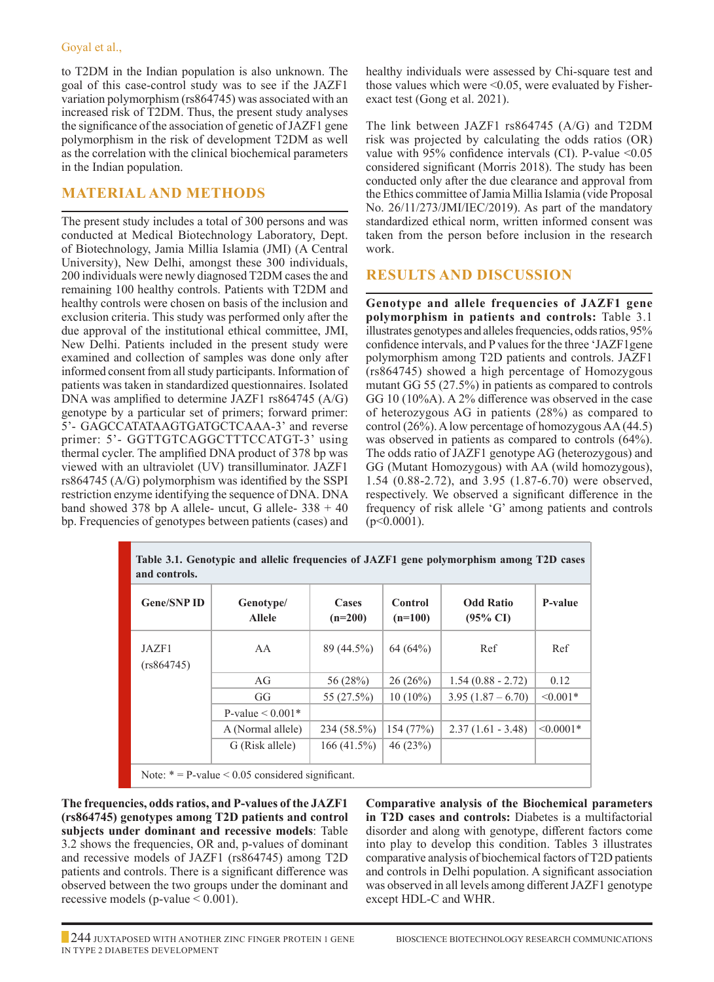to T2DM in the Indian population is also unknown. The goal of this case-control study was to see if the JAZF1 variation polymorphism (rs864745) was associated with an increased risk of T2DM. Thus, the present study analyses the significance of the association of genetic of JAZF1 gene polymorphism in the risk of development T2DM as well as the correlation with the clinical biochemical parameters in the Indian population.

## **Material and Methods**

The present study includes a total of 300 persons and was conducted at Medical Biotechnology Laboratory, Dept. of Biotechnology, Jamia Millia Islamia (JMI) (A Central University), New Delhi, amongst these 300 individuals, 200 individuals were newly diagnosed T2DM cases the and remaining 100 healthy controls. Patients with T2DM and healthy controls were chosen on basis of the inclusion and exclusion criteria. This study was performed only after the due approval of the institutional ethical committee, JMI, New Delhi. Patients included in the present study were examined and collection of samples was done only after informed consent from all study participants. Information of patients was taken in standardized questionnaires. Isolated DNA was amplified to determine JAZF1 rs864745 (A/G) genotype by a particular set of primers; forward primer: 5'- GAGCCATATAAGTGATGCTCAAA-3' and reverse primer: 5'- GGTTGTCAGGCTTTCCATGT-3' using thermal cycler. The amplified DNA product of 378 bp was viewed with an ultraviolet (UV) transilluminator. JAZF1 rs864745 (A/G) polymorphism was identified by the SSPI restriction enzyme identifying the sequence of DNA. DNA band showed 378 bp A allele- uncut, G allele-  $338 + 40$ bp. Frequencies of genotypes between patients (cases) and healthy individuals were assessed by Chi-square test and those values which were <0.05, were evaluated by Fisherexact test (Gong et al. 2021).

The link between JAZF1 rs864745 (A/G) and T2DM risk was projected by calculating the odds ratios (OR) value with 95% confidence intervals (CI). P-value  $\leq 0.05$ considered significant (Morris 2018). The study has been conducted only after the due clearance and approval from the Ethics committee of Jamia Millia Islamia (vide Proposal No. 26/11/273/JMI/IEC/2019). As part of the mandatory standardized ethical norm, written informed consent was taken from the person before inclusion in the research work.

## **Results and Discussion**

**Genotype and allele frequencies of JAZF1 gene polymorphism in patients and controls:** Table 3.1 illustrates genotypes and alleles frequencies, odds ratios, 95% confidence intervals, and P values for the three 'JAZF1gene polymorphism among T2D patients and controls. JAZF1 (rs864745) showed a high percentage of Homozygous mutant GG 55 (27.5%) in patients as compared to controls GG 10 (10%A). A 2% difference was observed in the case of heterozygous AG in patients (28%) as compared to control (26%). A low percentage of homozygous AA (44.5) was observed in patients as compared to controls (64%). The odds ratio of JAZF1 genotype AG (heterozygous) and GG (Mutant Homozygous) with AA (wild homozygous), 1.54 (0.88-2.72), and 3.95 (1.87-6.70) were observed, respectively. We observed a significant difference in the frequency of risk allele 'G' among patients and controls (p<0.0001).

| Table 3.1. Genotypic and allelic frequencies of JAZF1 gene polymorphism among T2D cases<br>and controls. |                            |                           |                             |                                         |                |  |  |  |
|----------------------------------------------------------------------------------------------------------|----------------------------|---------------------------|-----------------------------|-----------------------------------------|----------------|--|--|--|
| <b>Gene/SNPID</b>                                                                                        | Genotype/<br><b>Allele</b> | <b>Cases</b><br>$(n=200)$ | <b>Control</b><br>$(n=100)$ | <b>Odd Ratio</b><br>$(95\% \text{ CI})$ | P-value        |  |  |  |
| JAZF1<br>(rs864745)                                                                                      | AA                         | 89 (44.5%)                | 64(64%)                     | Ref                                     | Ref            |  |  |  |
|                                                                                                          | AG                         | 56 (28%)                  | 26(26%)                     | $1.54(0.88 - 2.72)$                     | 0.12           |  |  |  |
|                                                                                                          | GG                         | 55 (27.5%)                | $10(10\%)$                  | $3.95(1.87 - 6.70)$                     | $\leq 0.001*$  |  |  |  |
|                                                                                                          | P-value $\leq 0.001*$      |                           |                             |                                         |                |  |  |  |
|                                                                                                          | A (Normal allele)          | 234 (58.5%)               | 154(77%)                    | $2.37(1.61 - 3.48)$                     | $\leq 0.0001*$ |  |  |  |
|                                                                                                          | G (Risk allele)            | 166(41.5%)                | 46(23%)                     |                                         |                |  |  |  |
| Note: $* = P$ -value < 0.05 considered significant.                                                      |                            |                           |                             |                                         |                |  |  |  |

**The frequencies, odds ratios, and P-values of the JAZF1 (rs864745) genotypes among T2D patients and control subjects under dominant and recessive models**: Table 3.2 shows the frequencies, OR and, p-values of dominant and recessive models of JAZF1 (rs864745) among T2D patients and controls. There is a significant difference was observed between the two groups under the dominant and recessive models (p-value  $< 0.001$ ).

**Comparative analysis of the Biochemical parameters in T2D cases and controls:** Diabetes is a multifactorial disorder and along with genotype, different factors come into play to develop this condition. Tables 3 illustrates comparative analysis of biochemical factors of T2D patients and controls in Delhi population. A significant association was observed in all levels among different JAZF1 genotype except HDL-C and WHR.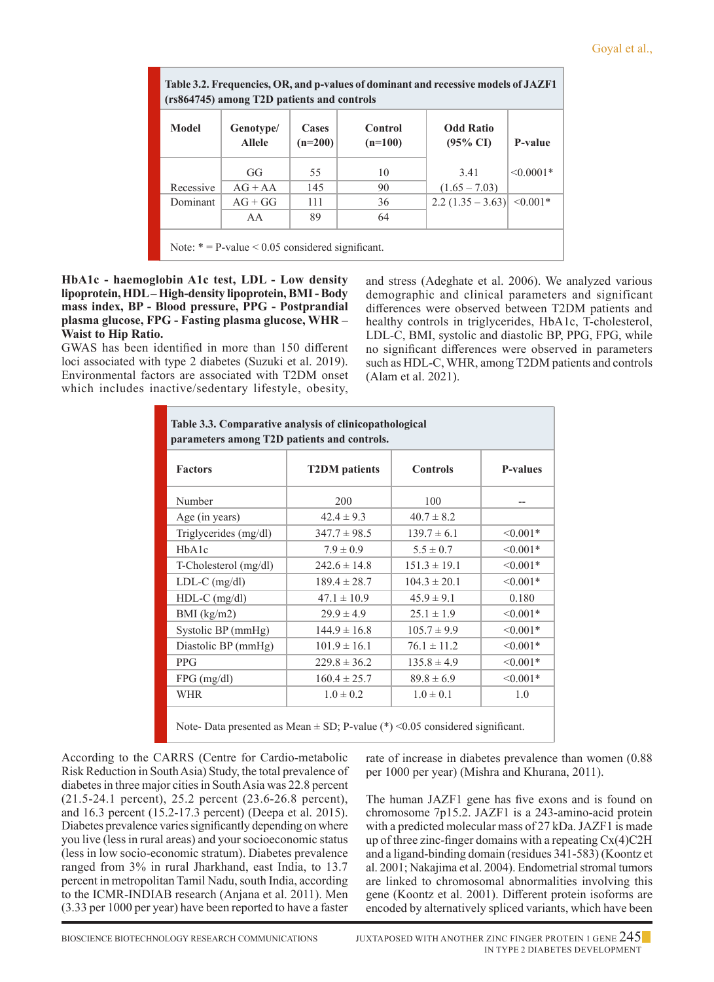#### Goyal et al.,

| Table 3.2. Frequencies, OR, and p-values of dominant and recessive models of JAZF1<br>(rs864745) among T2D patients and controls |                    |                      |                                         |         |  |  |  |  |
|----------------------------------------------------------------------------------------------------------------------------------|--------------------|----------------------|-----------------------------------------|---------|--|--|--|--|
| Genotype/<br><b>Allele</b>                                                                                                       | Cases<br>$(n=200)$ | Control<br>$(n=100)$ | <b>Odd Ratio</b><br>$(95\% \text{ CI})$ | P-value |  |  |  |  |
|                                                                                                                                  |                    |                      |                                         |         |  |  |  |  |

Dominant  $\begin{array}{|c|c|c|c|c|c|c|c|} \hline \end{array}$  AG + GG  $\begin{array}{|c|c|c|c|c|c|c|} \hline \end{array}$  111  $\begin{array}{|c|c|c|c|c|c|} \hline \end{array}$  36  $\begin{array}{|c|c|c|c|c|c|} \hline \end{array}$  2.2 (1.35 – 3.63) <0.001\*

Recessive AG + AA 145 90 (1.65 – 7.03)

AA | 89 | 64

GG  $\begin{array}{|c|c|c|c|c|c|c|c|c|} \hline \end{array}$  55 10 10 3.41  $\begin{array}{|c|c|c|c|c|c|c|} \hline \end{array}$ 

Note:  $* = P$ -value < 0.05 considered significant.

#### **HbA1c - haemoglobin A1c test, LDL - Low density lipoprotein, HDL – High-density lipoprotein, BMI - Body mass index, BP - Blood pressure, PPG - Postprandial plasma glucose, FPG - Fasting plasma glucose, WHR – Waist to Hip Ratio.**

GWAS has been identified in more than 150 different loci associated with type 2 diabetes (Suzuki et al. 2019). Environmental factors are associated with T2DM onset which includes inactive/sedentary lifestyle, obesity,

and stress (Adeghate et al. 2006). We analyzed various demographic and clinical parameters and significant differences were observed between T2DM patients and healthy controls in triglycerides, HbA1c, T-cholesterol, LDL-C, BMI, systolic and diastolic BP, PPG, FPG, while no significant differences were observed in parameters such as HDL-C, WHR, among T2DM patients and controls (Alam et al. 2021).

| Table 3.3. Comparative analysis of clinicopathological<br>parameters among T2D patients and controls. |                      |                  |                 |  |  |  |  |
|-------------------------------------------------------------------------------------------------------|----------------------|------------------|-----------------|--|--|--|--|
| <b>Factors</b>                                                                                        | <b>T2DM</b> patients | <b>Controls</b>  | <b>P-values</b> |  |  |  |  |
| Number                                                                                                | 200                  | 100              |                 |  |  |  |  |
| Age (in years)                                                                                        | $42.4 \pm 9.3$       | $40.7 \pm 8.2$   |                 |  |  |  |  |
| Triglycerides (mg/dl)                                                                                 | $347.7 \pm 98.5$     | $139.7 \pm 6.1$  | $< 0.001*$      |  |  |  |  |
| HbA1c                                                                                                 | $7.9 \pm 0.9$        | $5.5 \pm 0.7$    | $< 0.001*$      |  |  |  |  |
| T-Cholesterol (mg/dl)                                                                                 | $242.6 \pm 14.8$     | $151.3 \pm 19.1$ | $\leq 0.001*$   |  |  |  |  |
| $LDL-C$ (mg/dl)                                                                                       | $189.4 \pm 28.7$     | $104.3 \pm 20.1$ | $< 0.001*$      |  |  |  |  |
| $HDL-C$ (mg/dl)                                                                                       | $47.1 \pm 10.9$      | $45.9 \pm 9.1$   | 0.180           |  |  |  |  |
| BMI (kg/m2)                                                                                           | $29.9 \pm 4.9$       | $25.1 \pm 1.9$   | $\leq 0.001*$   |  |  |  |  |
| Systolic BP (mmHg)                                                                                    | $144.9 \pm 16.8$     | $105.7 \pm 9.9$  | $< 0.001*$      |  |  |  |  |
| Diastolic BP (mmHg)                                                                                   | $101.9 \pm 16.1$     | $76.1 \pm 11.2$  | $\leq 0.001*$   |  |  |  |  |
| <b>PPG</b>                                                                                            | $229.8 \pm 36.2$     | $135.8 \pm 4.9$  | $< 0.001*$      |  |  |  |  |
| $FPG$ (mg/dl)                                                                                         | $160.4 \pm 25.7$     | $89.8 \pm 6.9$   | $< 0.001*$      |  |  |  |  |
| <b>WHR</b>                                                                                            | $1.0 \pm 0.2$        | $1.0 \pm 0.1$    | 1.0             |  |  |  |  |
| Note- Data presented as Mean $\pm$ SD; P-value (*) < 0.05 considered significant.                     |                      |                  |                 |  |  |  |  |

According to the CARRS (Centre for Cardio-metabolic

Risk Reduction in South Asia) Study, the total prevalence of diabetes in three major cities in South Asia was 22.8 percent (21.5-24.1 percent), 25.2 percent (23.6-26.8 percent), and 16.3 percent (15.2-17.3 percent) (Deepa et al. 2015). Diabetes prevalence varies significantly depending on where you live (less in rural areas) and your socioeconomic status (less in low socio-economic stratum). Diabetes prevalence ranged from 3% in rural Jharkhand, east India, to 13.7 percent in metropolitan Tamil Nadu, south India, according to the ICMR-INDIAB research (Anjana et al. 2011). Men (3.33 per 1000 per year) have been reported to have a faster

rate of increase in diabetes prevalence than women (0.88 per 1000 per year) (Mishra and Khurana, 2011).

The human JAZF1 gene has five exons and is found on chromosome 7p15.2. JAZF1 is a 243-amino-acid protein with a predicted molecular mass of 27 kDa. JAZF1 is made up of three zinc-finger domains with a repeating  $Cx(4)C2H$ and a ligand-binding domain (residues 341-583) (Koontz et al. 2001; Nakajima et al. 2004). Endometrial stromal tumors are linked to chromosomal abnormalities involving this gene (Koontz et al. 2001). Different protein isoforms are encoded by alternatively spliced variants, which have been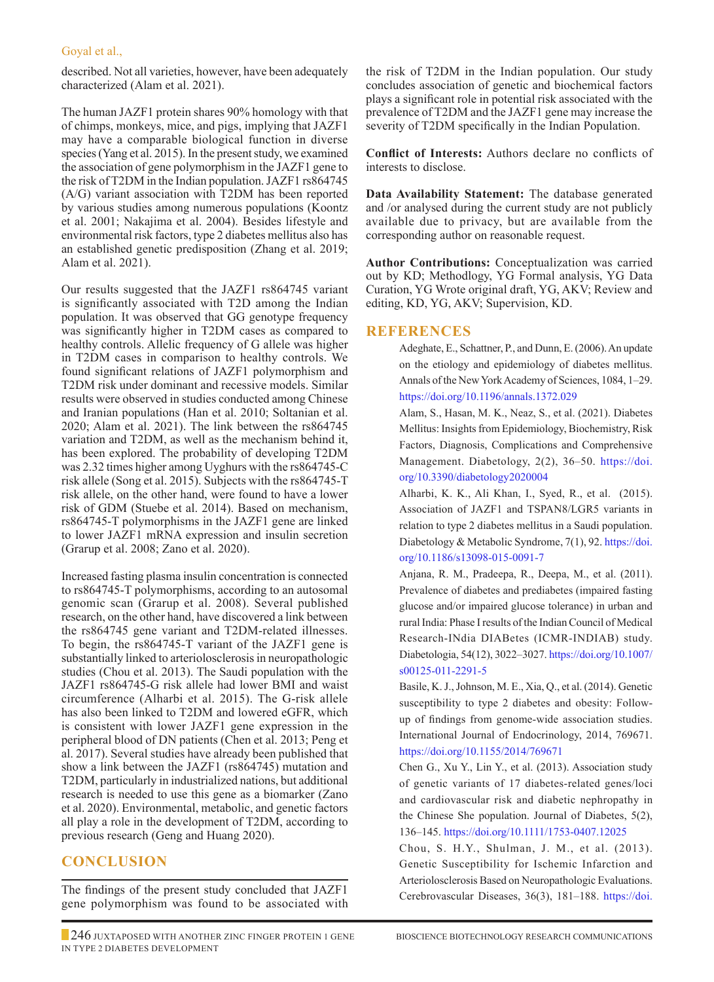#### Goyal et al.,

described. Not all varieties, however, have been adequately characterized (Alam et al. 2021).

The human JAZF1 protein shares 90% homology with that of chimps, monkeys, mice, and pigs, implying that JAZF1 may have a comparable biological function in diverse species (Yang et al. 2015). In the present study, we examined the association of gene polymorphism in the JAZF1 gene to the risk of T2DM in the Indian population. JAZF1 rs864745 (A/G) variant association with T2DM has been reported by various studies among numerous populations (Koontz et al. 2001; Nakajima et al. 2004). Besides lifestyle and environmental risk factors, type 2 diabetes mellitus also has an established genetic predisposition (Zhang et al. 2019; Alam et al. 2021).

Our results suggested that the JAZF1 rs864745 variant is significantly associated with T2D among the Indian population. It was observed that GG genotype frequency was significantly higher in T2DM cases as compared to healthy controls. Allelic frequency of G allele was higher in T2DM cases in comparison to healthy controls. We found significant relations of JAZF1 polymorphism and T2DM risk under dominant and recessive models. Similar results were observed in studies conducted among Chinese and Iranian populations (Han et al. 2010; Soltanian et al. 2020; Alam et al. 2021). The link between the rs864745 variation and T2DM, as well as the mechanism behind it, has been explored. The probability of developing T2DM was 2.32 times higher among Uyghurs with the rs864745-C risk allele (Song et al. 2015). Subjects with the rs864745-T risk allele, on the other hand, were found to have a lower risk of GDM (Stuebe et al. 2014). Based on mechanism, rs864745-T polymorphisms in the JAZF1 gene are linked to lower JAZF1 mRNA expression and insulin secretion (Grarup et al. 2008; Zano et al. 2020).

Increased fasting plasma insulin concentration is connected to rs864745-T polymorphisms, according to an autosomal genomic scan (Grarup et al. 2008). Several published research, on the other hand, have discovered a link between the rs864745 gene variant and T2DM-related illnesses. To begin, the rs864745-T variant of the JAZF1 gene is substantially linked to arteriolosclerosis in neuropathologic studies (Chou et al. 2013). The Saudi population with the JAZF1 rs864745-G risk allele had lower BMI and waist circumference (Alharbi et al. 2015). The G-risk allele has also been linked to T2DM and lowered eGFR, which is consistent with lower JAZF1 gene expression in the peripheral blood of DN patients (Chen et al. 2013; Peng et al. 2017). Several studies have already been published that show a link between the JAZF1 (rs864745) mutation and T2DM, particularly in industrialized nations, but additional research is needed to use this gene as a biomarker (Zano et al. 2020). Environmental, metabolic, and genetic factors all play a role in the development of T2DM, according to previous research (Geng and Huang 2020).

## **Conclusion**

The findings of the present study concluded that JAZF1 gene polymorphism was found to be associated with the risk of T2DM in the Indian population. Our study concludes association of genetic and biochemical factors plays a significant role in potential risk associated with the prevalence of T2DM and the JAZF1 gene may increase the severity of T2DM specifically in the Indian Population.

**Conflict of Interests:** Authors declare no conflicts of interests to disclose.

**Data Availability Statement:** The database generated and /or analysed during the current study are not publicly available due to privacy, but are available from the corresponding author on reasonable request.

**Author Contributions:** Conceptualization was carried out by KD; Methodlogy, YG Formal analysis, YG Data Curation, YG Wrote original draft, YG, AKV; Review and editing, KD, YG, AKV; Supervision, KD.

### **REFERENCES**

Adeghate, E., Schattner, P., and Dunn, E. (2006). An update on the etiology and epidemiology of diabetes mellitus. Annals of the New York Academy of Sciences, 1084, 1–29. https://doi.org/10.1196/annals.1372.029

Alam, S., Hasan, M. K., Neaz, S., et al. (2021). Diabetes Mellitus: Insights from Epidemiology, Biochemistry, Risk Factors, Diagnosis, Complications and Comprehensive Management. Diabetology, 2(2), 36–50. https://doi. org/10.3390/diabetology2020004

Alharbi, K. K., Ali Khan, I., Syed, R., et al. (2015). Association of JAZF1 and TSPAN8/LGR5 variants in relation to type 2 diabetes mellitus in a Saudi population. Diabetology & Metabolic Syndrome, 7(1), 92. https://doi. org/10.1186/s13098-015-0091-7

Anjana, R. M., Pradeepa, R., Deepa, M., et al. (2011). Prevalence of diabetes and prediabetes (impaired fasting glucose and/or impaired glucose tolerance) in urban and rural India: Phase I results of the Indian Council of Medical Research-INdia DIABetes (ICMR-INDIAB) study. Diabetologia, 54(12), 3022–3027. https://doi.org/10.1007/ s00125-011-2291-5

Basile, K. J., Johnson, M. E., Xia, Q., et al. (2014). Genetic susceptibility to type 2 diabetes and obesity: Followup of findings from genome-wide association studies. International Journal of Endocrinology, 2014, 769671. https://doi.org/10.1155/2014/769671

Chen G., Xu Y., Lin Y., et al. (2013). Association study of genetic variants of 17 diabetes-related genes/loci and cardiovascular risk and diabetic nephropathy in the Chinese She population. Journal of Diabetes, 5(2), 136–145. https://doi.org/10.1111/1753-0407.12025

Chou, S. H.Y., Shulman, J. M., et al. (2013). Genetic Susceptibility for Ischemic Infarction and Arteriolosclerosis Based on Neuropathologic Evaluations. Cerebrovascular Diseases, 36(3), 181–188. https://doi.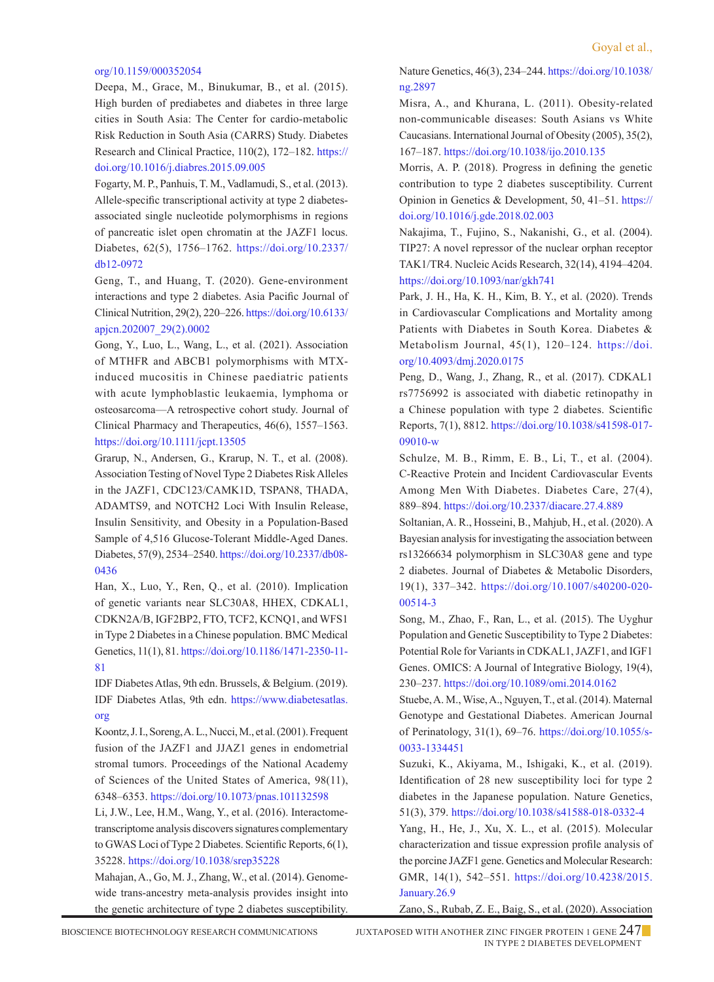#### org/10.1159/000352054

Deepa, M., Grace, M., Binukumar, B., et al. (2015). High burden of prediabetes and diabetes in three large cities in South Asia: The Center for cardio-metabolic Risk Reduction in South Asia (CARRS) Study. Diabetes Research and Clinical Practice, 110(2), 172–182. https:// doi.org/10.1016/j.diabres.2015.09.005

Fogarty, M. P., Panhuis, T. M., Vadlamudi, S., et al. (2013). Allele-specific transcriptional activity at type 2 diabetesassociated single nucleotide polymorphisms in regions of pancreatic islet open chromatin at the JAZF1 locus. Diabetes, 62(5), 1756–1762. https://doi.org/10.2337/ db12-0972

Geng, T., and Huang, T. (2020). Gene-environment interactions and type 2 diabetes. Asia Pacific Journal of Clinical Nutrition, 29(2), 220–226. https://doi.org/10.6133/ apjcn.202007\_29(2).0002

Gong, Y., Luo, L., Wang, L., et al. (2021). Association of MTHFR and ABCB1 polymorphisms with MTXinduced mucositis in Chinese paediatric patients with acute lymphoblastic leukaemia, lymphoma or osteosarcoma—A retrospective cohort study. Journal of Clinical Pharmacy and Therapeutics, 46(6), 1557–1563. https://doi.org/10.1111/jcpt.13505

Grarup, N., Andersen, G., Krarup, N. T., et al. (2008). Association Testing of Novel Type 2 Diabetes Risk Alleles in the JAZF1, CDC123/CAMK1D, TSPAN8, THADA, ADAMTS9, and NOTCH2 Loci With Insulin Release, Insulin Sensitivity, and Obesity in a Population-Based Sample of 4,516 Glucose-Tolerant Middle-Aged Danes. Diabetes, 57(9), 2534–2540. https://doi.org/10.2337/db08- 0436

Han, X., Luo, Y., Ren, Q., et al. (2010). Implication of genetic variants near SLC30A8, HHEX, CDKAL1, CDKN2A/B, IGF2BP2, FTO, TCF2, KCNQ1, and WFS1 in Type 2 Diabetes in a Chinese population. BMC Medical Genetics, 11(1), 81. https://doi.org/10.1186/1471-2350-11- 81

IDF Diabetes Atlas, 9th edn. Brussels, & Belgium. (2019). IDF Diabetes Atlas, 9th edn. https://www.diabetesatlas. org

Koontz, J. I., Soreng, A. L., Nucci, M., et al. (2001). Frequent fusion of the JAZF1 and JJAZ1 genes in endometrial stromal tumors. Proceedings of the National Academy of Sciences of the United States of America, 98(11), 6348–6353. https://doi.org/10.1073/pnas.101132598

Li, J.W., Lee, H.M., Wang, Y., et al. (2016). Interactometranscriptome analysis discovers signatures complementary to GWAS Loci of Type 2 Diabetes. Scientific Reports, 6(1), 35228. https://doi.org/10.1038/srep35228

Mahajan, A., Go, M. J., Zhang, W., et al. (2014). Genomewide trans-ancestry meta-analysis provides insight into the genetic architecture of type 2 diabetes susceptibility.

Nature Genetics, 46(3), 234–244. https://doi.org/10.1038/ ng.2897

Misra, A., and Khurana, L. (2011). Obesity-related non-communicable diseases: South Asians vs White Caucasians. International Journal of Obesity (2005), 35(2), 167–187. https://doi.org/10.1038/ijo.2010.135

Morris, A. P. (2018). Progress in defining the genetic contribution to type 2 diabetes susceptibility. Current Opinion in Genetics & Development, 50, 41–51. https:// doi.org/10.1016/j.gde.2018.02.003

 Nakajima, T., Fujino, S., Nakanishi, G., et al. (2004). TIP27: A novel repressor of the nuclear orphan receptor TAK1/TR4. Nucleic Acids Research, 32(14), 4194–4204. https://doi.org/10.1093/nar/gkh741

Park, J. H., Ha, K. H., Kim, B. Y., et al. (2020). Trends in Cardiovascular Complications and Mortality among Patients with Diabetes in South Korea. Diabetes & Metabolism Journal, 45(1), 120–124. https://doi. org/10.4093/dmj.2020.0175

Peng, D., Wang, J., Zhang, R., et al. (2017). CDKAL1 rs7756992 is associated with diabetic retinopathy in a Chinese population with type 2 diabetes. Scientific Reports, 7(1), 8812. https://doi.org/10.1038/s41598-017- 09010-w

 Schulze, M. B., Rimm, E. B., Li, T., et al. (2004). C-Reactive Protein and Incident Cardiovascular Events Among Men With Diabetes. Diabetes Care, 27(4), 889–894. https://doi.org/10.2337/diacare.27.4.889

 Soltanian, A. R., Hosseini, B., Mahjub, H., et al. (2020). A Bayesian analysis for investigating the association between rs13266634 polymorphism in SLC30A8 gene and type 2 diabetes. Journal of Diabetes & Metabolic Disorders, 19(1), 337–342. https://doi.org/10.1007/s40200-020- 00514-3

 Song, M., Zhao, F., Ran, L., et al. (2015). The Uyghur Population and Genetic Susceptibility to Type 2 Diabetes: Potential Role for Variants in CDKAL1, JAZF1, and IGF1 Genes. OMICS: A Journal of Integrative Biology, 19(4), 230–237. https://doi.org/10.1089/omi.2014.0162

 Stuebe, A. M., Wise, A., Nguyen, T., et al. (2014). Maternal Genotype and Gestational Diabetes. American Journal of Perinatology, 31(1), 69–76. https://doi.org/10.1055/s-0033-1334451

Suzuki, K., Akiyama, M., Ishigaki, K., et al. (2019). Identification of 28 new susceptibility loci for type 2 diabetes in the Japanese population. Nature Genetics, 51(3), 379. https://doi.org/10.1038/s41588-018-0332-4

 Yang, H., He, J., Xu, X. L., et al. (2015). Molecular characterization and tissue expression profile analysis of the porcine JAZF1 gene. Genetics and Molecular Research: GMR, 14(1), 542–551. https://doi.org/10.4238/2015. January.26.9

Zano, S., Rubab, Z. E., Baig, S., et al. (2020). Association